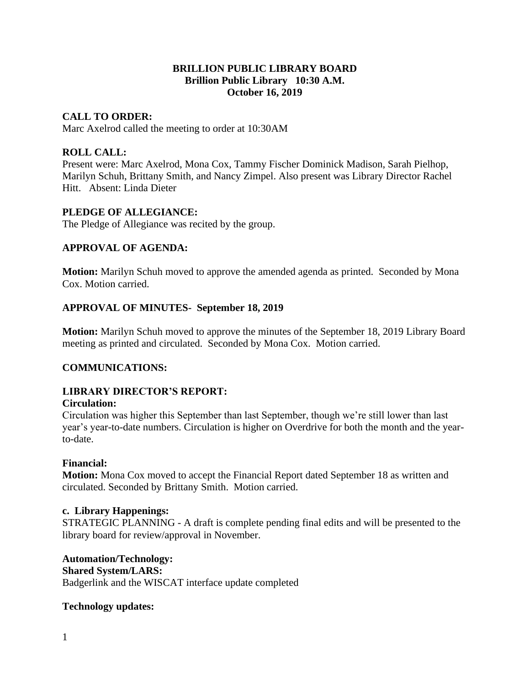### **BRILLION PUBLIC LIBRARY BOARD Brillion Public Library 10:30 A.M. October 16, 2019**

# **CALL TO ORDER:**

Marc Axelrod called the meeting to order at 10:30AM

# **ROLL CALL:**

Present were: Marc Axelrod, Mona Cox, Tammy Fischer Dominick Madison, Sarah Pielhop, Marilyn Schuh, Brittany Smith, and Nancy Zimpel. Also present was Library Director Rachel Hitt. Absent: Linda Dieter

### **PLEDGE OF ALLEGIANCE:**

The Pledge of Allegiance was recited by the group.

### **APPROVAL OF AGENDA:**

**Motion:** Marilyn Schuh moved to approve the amended agenda as printed. Seconded by Mona Cox. Motion carried.

# **APPROVAL OF MINUTES- September 18, 2019**

**Motion:** Marilyn Schuh moved to approve the minutes of the September 18, 2019 Library Board meeting as printed and circulated. Seconded by Mona Cox. Motion carried.

# **COMMUNICATIONS:**

# **LIBRARY DIRECTOR'S REPORT:**

#### **Circulation:**

Circulation was higher this September than last September, though we're still lower than last year's year-to-date numbers. Circulation is higher on Overdrive for both the month and the yearto-date.

#### **Financial:**

**Motion:** Mona Cox moved to accept the Financial Report dated September 18 as written and circulated. Seconded by Brittany Smith. Motion carried.

#### **c. Library Happenings:**

STRATEGIC PLANNING - A draft is complete pending final edits and will be presented to the library board for review/approval in November.

**Automation/Technology:**

#### **Shared System/LARS:**

Badgerlink and the WISCAT interface update completed

#### **Technology updates:**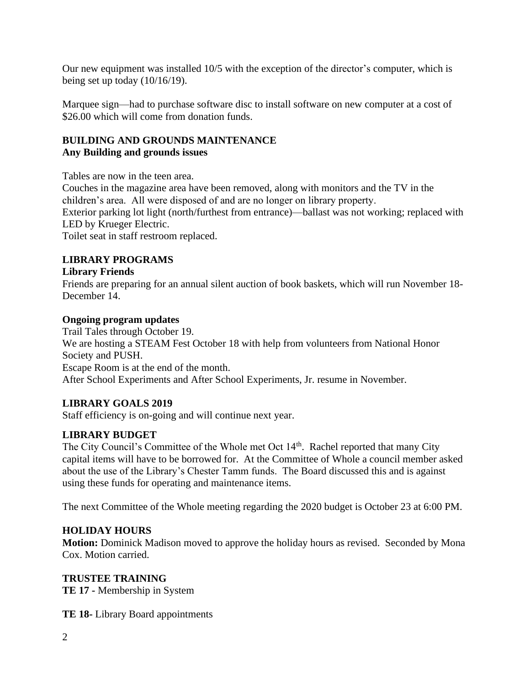Our new equipment was installed 10/5 with the exception of the director's computer, which is being set up today (10/16/19).

Marquee sign—had to purchase software disc to install software on new computer at a cost of \$26.00 which will come from donation funds.

### **BUILDING AND GROUNDS MAINTENANCE Any Building and grounds issues**

Tables are now in the teen area.

Couches in the magazine area have been removed, along with monitors and the TV in the children's area. All were disposed of and are no longer on library property. Exterior parking lot light (north/furthest from entrance)—ballast was not working; replaced with LED by Krueger Electric. Toilet seat in staff restroom replaced.

# **LIBRARY PROGRAMS**

### **Library Friends**

Friends are preparing for an annual silent auction of book baskets, which will run November 18- December 14.

### **Ongoing program updates**

Trail Tales through October 19. We are hosting a STEAM Fest October 18 with help from volunteers from National Honor Society and PUSH. Escape Room is at the end of the month. After School Experiments and After School Experiments, Jr. resume in November.

# **LIBRARY GOALS 2019**

Staff efficiency is on-going and will continue next year.

# **LIBRARY BUDGET**

The City Council's Committee of the Whole met Oct 14<sup>th</sup>. Rachel reported that many City capital items will have to be borrowed for. At the Committee of Whole a council member asked about the use of the Library's Chester Tamm funds. The Board discussed this and is against using these funds for operating and maintenance items.

The next Committee of the Whole meeting regarding the 2020 budget is October 23 at 6:00 PM.

# **HOLIDAY HOURS**

**Motion:** Dominick Madison moved to approve the holiday hours as revised. Seconded by Mona Cox. Motion carried.

# **TRUSTEE TRAINING**

**TE 17 -** Membership in System

**TE 18-** Library Board appointments